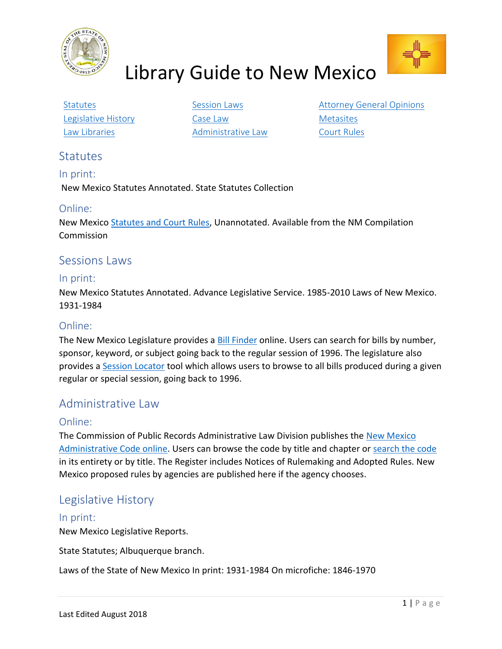

# Library Guide to New Mexico



[Law Libraries](#page-1-3) **[Administrative Law](#page-0-3)** [Court Rules](#page-1-4)

[Legislative History](#page-0-2) **[Case Law](#page-1-1)** Case Law [Metasites](#page-1-2)

[Statutes](#page-0-0) **SESSION LAWS** [Session Laws](#page-0-1) [Attorney General Opinions](#page-1-0)

## <span id="page-0-0"></span>**Statutes**

In print: New Mexico Statutes Annotated. State Statutes Collection

## Online:

New Mexico [Statutes and Court Rules,](http://public.nmcompcomm.us/nmnxtadmin/) Unannotated. Available from the NM Compilation Commission

## <span id="page-0-1"></span>Sessions Laws

#### In print:

New Mexico Statutes Annotated. Advance Legislative Service. 1985-2010 Laws of New Mexico. 1931-1984

## Online:

The New Mexico Legislature provides a [Bill Finder](https://www.nmlegis.gov/Legislation/Bill_Finder) online. Users can search for bills by number, sponsor, keyword, or subject going back to the regular session of 1996. The legislature also provides a [Session Locator](https://www.nmlegis.gov/Legislation/Legislation_List) tool which allows users to browse to all bills produced during a given regular or special session, going back to 1996.

# <span id="page-0-3"></span>Administrative Law

## Online:

The Commission of Public Records Administrative Law Division publishes the New Mexico [Administrative Code online.](http://164.64.110.134/nmac/) Users can browse the code by title and chapter or [search the code](http://164.64.110.134/nmac/search-engine) in its entirety or by title. The Register includes Notices of Rulemaking and Adopted Rules. New Mexico proposed rules by agencies are published here if the agency chooses.

# <span id="page-0-2"></span>Legislative History

## In print:

New Mexico Legislative Reports.

State Statutes; Albuquerque branch.

Laws of the State of New Mexico In print: 1931-1984 On microfiche: 1846-1970